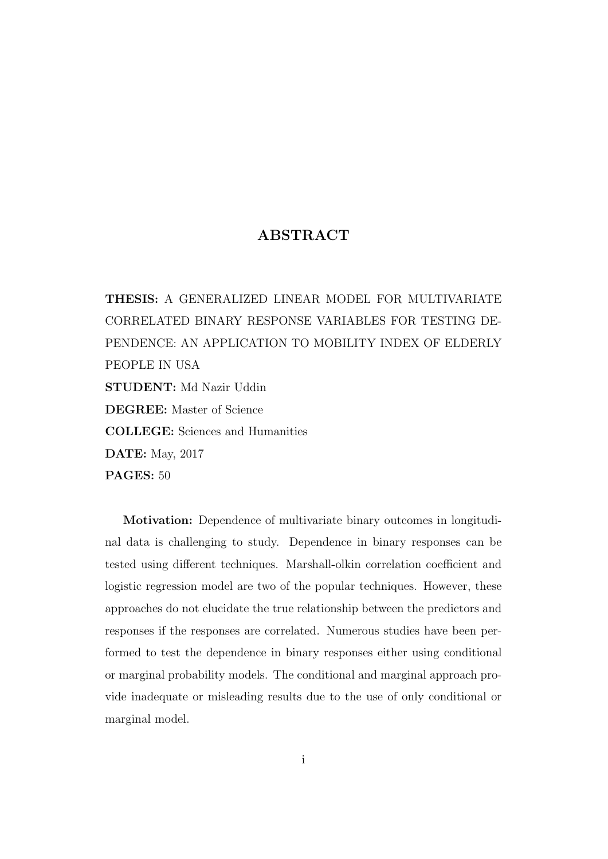## ABSTRACT

THESIS: A GENERALIZED LINEAR MODEL FOR MULTIVARIATE CORRELATED BINARY RESPONSE VARIABLES FOR TESTING DE-PENDENCE: AN APPLICATION TO MOBILITY INDEX OF ELDERLY PEOPLE IN USA STUDENT: Md Nazir Uddin DEGREE: Master of Science COLLEGE: Sciences and Humanities DATE: May, 2017 PAGES: 50

Motivation: Dependence of multivariate binary outcomes in longitudinal data is challenging to study. Dependence in binary responses can be tested using different techniques. Marshall-olkin correlation coefficient and logistic regression model are two of the popular techniques. However, these approaches do not elucidate the true relationship between the predictors and responses if the responses are correlated. Numerous studies have been performed to test the dependence in binary responses either using conditional or marginal probability models. The conditional and marginal approach provide inadequate or misleading results due to the use of only conditional or marginal model.